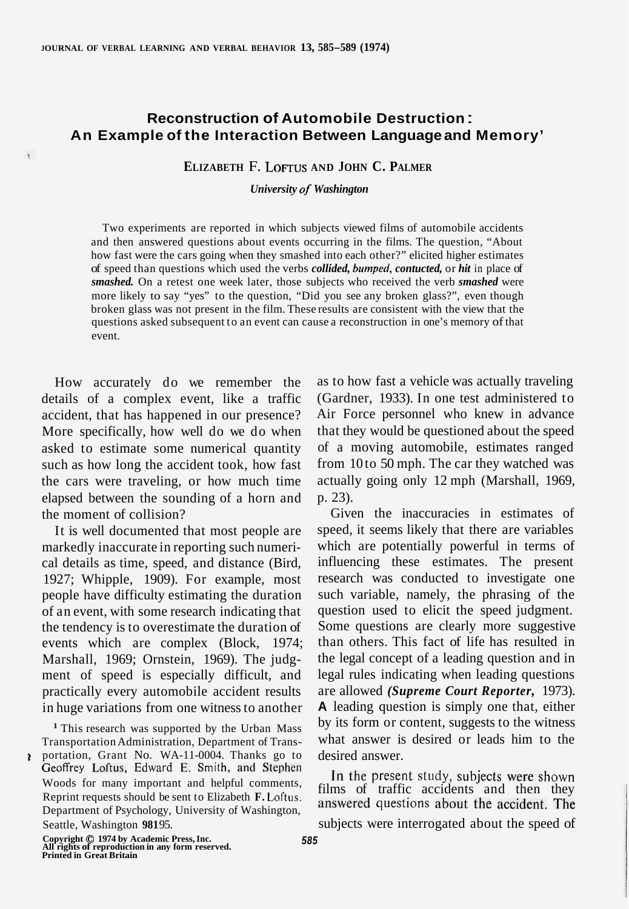# **Reconstruction of Automobile Destruction** : **An Example of the Interaction Between Language and Memory'**

**ELIZABETH** F. **LOFTUS AND JOHN C. PALMER** 

*University of Washington* 

Two experiments are reported in which subjects viewed films of automobile accidents and then answered questions about events occurring in the films. The question, "About how fast were the cars going when they smashed into each other?" elicited higher estimates of speed than questions which used the verbs *collided, bumped, contucted,* or *hit* in place of *smashed.* On a retest one week later, those subjects who received the verb *smashed* were more likely to say "yes" to the question, "Did you see any broken glass?", even though broken glass was not present in the film. These results are consistent with the view that the questions asked subsequent to an event can cause a reconstruction in one's memory of that event.

How accurately do we remember the details of a complex event, like a traffic accident, that has happened in our presence? More specifically, how well do we do when asked to estimate some numerical quantity such as how long the accident took, how fast the cars were traveling, or how much time elapsed between the sounding of a horn and the moment of collision?

 $\ddot{r}$ 

It is well documented that most people are markedly inaccurate in reporting such numerical details as time, speed, and distance (Bird, 1927; Whipple, 1909). For example, most people have difficulty estimating the duration of an event, with some research indicating that the tendency is to overestimate the duration of events which are complex (Block, 1974; Marshall, 1969; Ornstein, 1969). The judgment of speed is especially difficult, and practically every automobile accident results in huge variations from one witness to another

<sup>1</sup> This research was supported by the Urban Mass Transportation Administration, Department of Trans-**1** portation, Grant No. WA-11-0004. Thanks go to Geoffrey Loftus, Edward E. Smith, and Stephen Woods for many important and helpful comments, Reprint requests should be sent to Elizabeth **F.** Loftus. Department of Psychology, University of Washington, Seattle, Washington 98195.

as to how fast a vehicle was actually traveling (Gardner, 1933). In one test administered to Air Force personnel who knew in advance that they would be questioned about the speed of a moving automobile, estimates ranged from 10 to 50 mph. The car they watched was actually going only 12 mph (Marshall, 1969, p. 23).

Given the inaccuracies in estimates of speed, it seems likely that there are variables which are potentially powerful in terms of influencing these estimates. The present research was conducted to investigate one such variable, namely, the phrasing of the question used to elicit the speed judgment. Some questions are clearly more suggestive than others. This fact of life has resulted in the legal concept of a leading question and in legal rules indicating when leading questions are allowed *(Supreme Court Reporter,* 1973). **A** leading question is simply one that, either by its form or content, suggests to the witness what answer is desired or leads him to the desired answer.

In the present study, subjects were shown answered questions about the accident. The films of traffic accidents and then they subjects were interrogated about the speed of

**Copyright** *0* **1974 by Academic Press, Inc.**  *<sup>585</sup>***All rights of reproduction in any form reserved. Printed in Great Britain**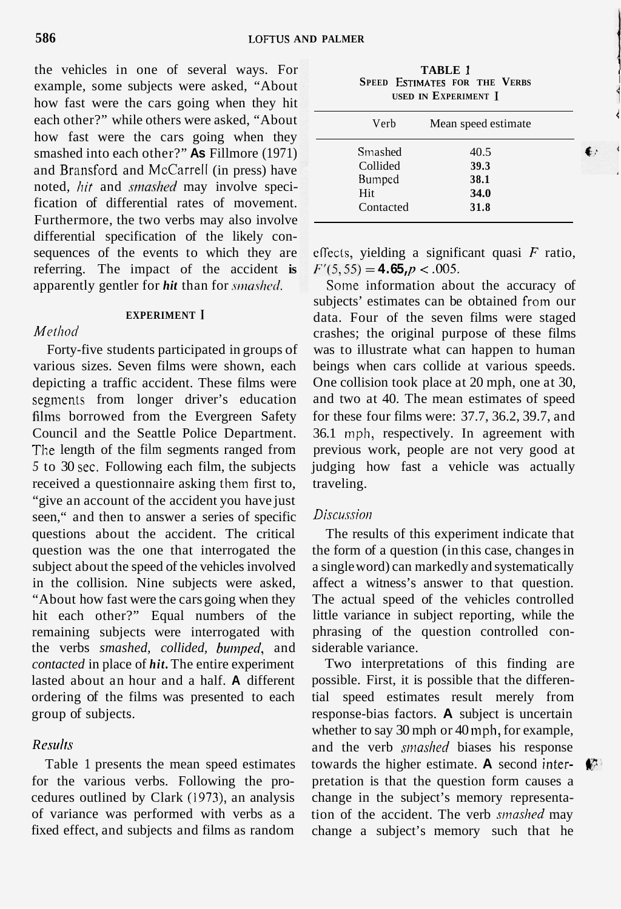the vehicles in one of several ways. For example, some subjects were asked, "About how fast were the cars going when they hit each other?" while others were asked, "About how fast were the cars going when they smashed into each other?" **As** Fillmore (1971) and Bransford and McCarrell (in press) have noted, *hit* and *smashed* may involve specification of differential rates of movement. Furthermore, the two verbs may also involve differential specification of the likely consequences of the events to which they are referring. The impact of the accident **is**  apparently gentler for *hit* than for *smashed*.

### **EXPERIMENT** 1

# *Metliod*

Forty-five students participated in groups of various sizes. Seven films were shown, each depicting a traffic accident. These films were segments from longer driver's education films borrowed from the Evergreen Safety Council and the Seattle Police Department. The length of the film segments ranged from *5* to 30 sec. Following each film, the subjects received a questionnaire asking them first to, "give an account of the accident you have just seen," and then to answer a series of specific questions about the accident. The critical question was the one that interrogated the subject about the speed of the vehicles involved in the collision. Nine subjects were asked, "About how fast were the cars going when they hit each other?" Equal numbers of the remaining subjects were interrogated with the verbs *smashed, collided, bumped*, and *contacted* in place of *hit.* The entire experiment lasted about an hour and a half. **A** different ordering of the films was presented to each group of subjects.

# *R esiilt* s

Table 1 presents the mean speed estimates for the various verbs. Following the procedures outlined by Clark (1973), an analysis of variance was performed with verbs as a fixed effect, and subjects and films as random

| TABLE 1                       |  |  |
|-------------------------------|--|--|
| SPEED ESTIMATES FOR THE VERBS |  |  |
| USED IN EXPERIMENT I          |  |  |

*1* 

| Verb      | Mean speed estimate |  |
|-----------|---------------------|--|
| Smashed   | 40.5                |  |
| Collided  | 39.3                |  |
| Bumped    | 38.1                |  |
| Hit       | 34.0                |  |
| Contacted | 31.8                |  |
|           |                     |  |

efTects, yielding a significant quasi *F* ratio,  $F'(5,55) = 4.65, p < .005.$ 

Some information about the accuracy of subjects' estimates can be obtained from our data. Four of the seven films were staged crashes; the original purpose of these films was to illustrate what can happen to human beings when cars collide at various speeds. One collision took place at 20 mph, one at 30, and two at 40. The mean estimates of speed for these four films were: 37.7, 36.2, 39.7, and 36.1 mph, respectively. In agreement with previous work, people are not very good at judging how fast a vehicle was actually traveling.

### *Discussioii*

The results of this experiment indicate that the form of a question (in this case, changes in a single word) can markedly and systematically affect a witness's answer to that question. The actual speed of the vehicles controlled little variance in subject reporting, while the phrasing of the question controlled considerable variance.

Two interpretations of this finding are possible. First, it is possible that the differential speed estimates result merely from response-bias factors. **A** subject is uncertain whether to say 30 mph or 40 mph, for example, and the verb *smashed* biases his response towards the higher estimate. **A** second interpretation is that the question form causes a change in the subject's memory representation of the accident. The verb *smashed* may change a subject's memory such that he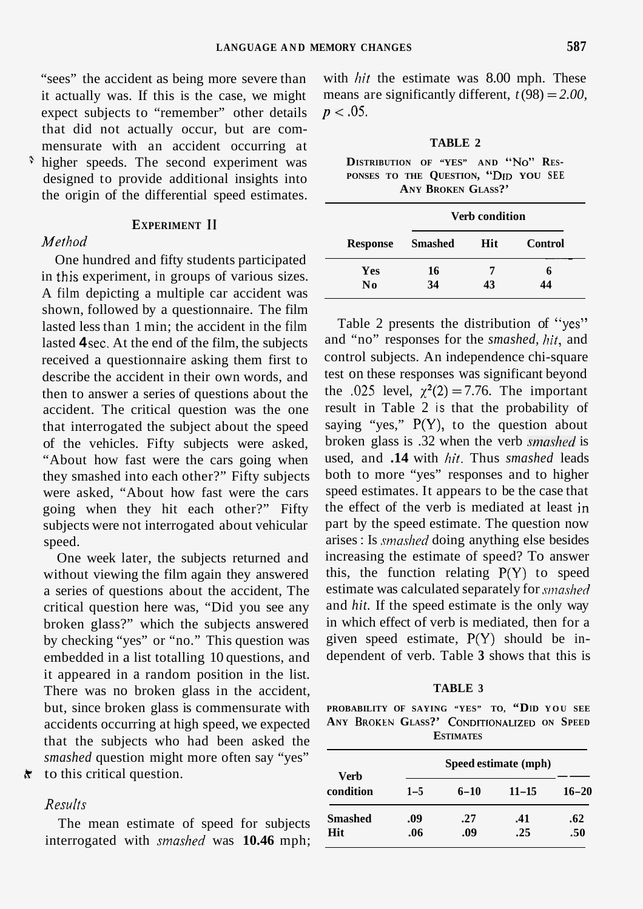"sees" the accident as being more severe than it actually was. If this is the case, we might expect subjects to "remember" other details that did not actually occur, but are commensurate with an accident occurring at higher speeds. The second experiment was designed to provide additional insights into the origin of the differential speed estimates.

#### **EXPERIMENT I1**

# *Method*

One hundred and fifty students participated in this experiment, in groups of various sizes. A film depicting a multiple car accident was shown, followed by a questionnaire. The film lasted less than 1 min; the accident in the film lasted **4** sec. At the end of the film, the subjects received a questionnaire asking them first to describe the accident in their own words, and then to answer a series of questions about the accident. The critical question was the one that interrogated the subject about the speed of the vehicles. Fifty subjects were asked, "About how fast were the cars going when they smashed into each other?" Fifty subjects were asked, "About how fast were the cars going when they hit each other?" Fifty subjects were not interrogated about vehicular speed.

One week later, the subjects returned and without viewing the film again they answered a series of questions about the accident, The critical question here was, "Did you see any broken glass?" which the subjects answered by checking "yes" or "no." This question was embedded in a list totalling 10 questions, and it appeared in a random position in the list. There was no broken glass in the accident, but, since broken glass is commensurate with accidents occurring at high speed, we expected that the subjects who had been asked the *smashed* question might more often say "yes" *k* to this critical question.

# *Results*

The mean estimate of speed for subjects interrogated with *smashed* was 10.46 mph;

with *hit* the estimate was 8.00 mph. These means are significantly different,  $t(98) = 2.00$ ,  $p < .05$ .

#### **TABLE 2**

**DISTRIBUTION OF "YES" AND "NO" RES-PONSES TO THE QUESTION, "DID YOU SEE ANY BROKEN GLASS?'** 

|                 |                | <b>Verb condition</b> |                |
|-----------------|----------------|-----------------------|----------------|
| <b>Response</b> | <b>Smashed</b> | Hit                   | <b>Control</b> |
| Yes             | 16             | 7                     | 6              |
| $\bf N_0$       | 34             | 43                    | 44             |

Table 2 presents the distribution of "yes" and "no" responses for the *smashed, Itit,* and control subjects. An independence chi-square test on these responses was significant beyond the .025 level,  $\chi^2(2) = 7.76$ . The important result in Table 2 is that the probability of saying "yes,"  $P(Y)$ , to the question about broken glass is .32 when the verb *smashed* is used, and **.14** with *hit.* Thus *smashed* leads both to more "yes" responses and to higher speed estimates. It appears to be the case that the effect of the verb is mediated at least in part by the speed estimate. The question now arises : Is *sniushed* doing anything else besides increasing the estimate of speed? To answer this, the function relating  $P(Y)$  to speed estimate was calculated separately for *smashed* and *hit.* If the speed estimate is the only way in which effect of verb is mediated, then for a given speed estimate, P(Y) should be independent of verb. Table **3** shows that this is

#### **TABLE 3**

**PROBABILITY OF SAYING "YES" TO, "DID YOU SEE ESTIMATES** 

|                | ANY BROKEN GLASS?' CONDITIONALIZED ON SPEED<br><b>ESTIMATES</b> |         |      |           |           |  |  |  |
|----------------|-----------------------------------------------------------------|---------|------|-----------|-----------|--|--|--|
| Verb           |                                                                 |         |      |           |           |  |  |  |
| condition      |                                                                 | $1 - 5$ | 6–10 | $11 - 15$ | $16 - 20$ |  |  |  |
| <b>Smashed</b> |                                                                 | .09     | .27  | .41       | .62       |  |  |  |
| <b>Hit</b>     |                                                                 | .06     | .09  | .25       | .50       |  |  |  |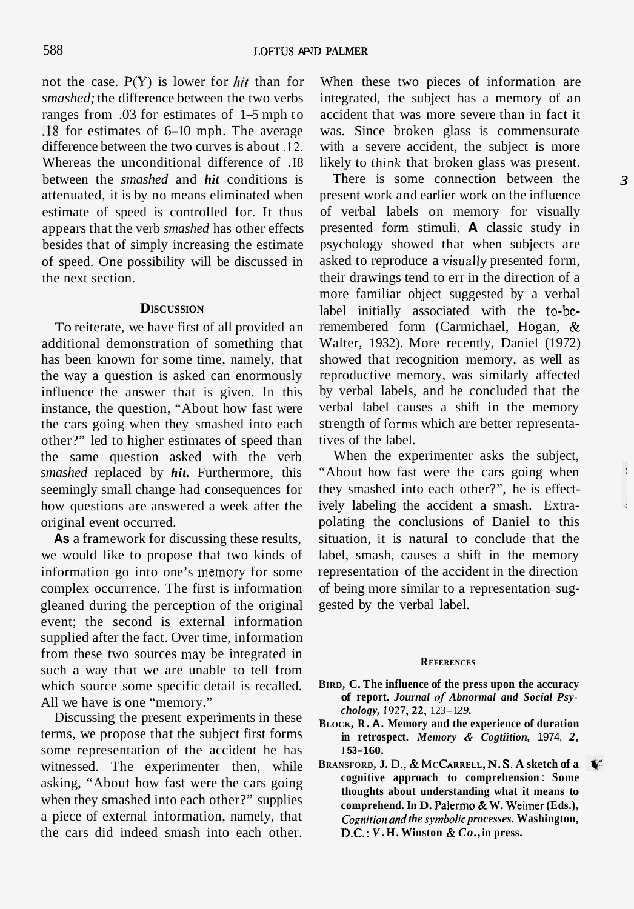not the case. **P(Y)** is lower for *hit* than for *smashed;* the difference between the two verbs ranges from .03 for estimates of 1-5 mph to .I8 for estimates of 6-10 mph. The average difference between the two curves is about 12. Whereas the unconditional difference of . I8 between the *smashed* and *hit* conditions is attenuated, it is by no means eliminated when estimate of speed is controlled for. It thus appears that the verb *smashed* has other effects besides that of simply increasing the estimate of speed. One possibility will be discussed in the next section.

### **DISCUSSION**

To reiterate, we have first of all provided an additional demonstration of something that has been known for some time, namely, that the way a question is asked can enormously influence the answer that is given. In this instance, the question, "About how fast were the cars going when they smashed into each other?" led to higher estimates of speed than the same question asked with the verb *smashed* replaced by *hit.* Furthermore, this seemingly small change had consequences for how questions are answered a week after the original event occurred.

**As** a framework for discussing these results, we would like to propose that two kinds of information go into one's memory for some complex occurrence. The first is information gleaned during the perception of the original event; the second is external information supplied after the fact. Over time, information from these two sources may be integrated in such a way that we are unable to tell from which source some specific detail is recalled. All we have is one "memory."

Discussing the present experiments in these terms, we propose that the subject first forms some representation of the accident he has witnessed. The experimenter then, while asking, "About how fast were the cars going when they smashed into each other?" supplies a piece of external information, namely, that the cars did indeed smash into each other. When these two pieces of information are integrated, the subject has a memory of an accident that was more severe than in fact it was. Since broken glass is commensurate with a severe accident, the subject is more likely to think that broken glass was present.

*3* 

 $\frac{1}{2}$ 

There is some connection between the present work and earlier work on the influence of verbal labels on memory for visually presented form stimuli. **A** classic study in psychology showed that when subjects are asked to reproduce a visually presented form, their drawings tend to err in the direction of a more familiar object suggested by a verbal label initially associated with the to-beremembered form (Carmichael, Hogan, & Walter, 1932). More recently, Daniel (1972) showed that recognition memory, as well as reproductive memory, was similarly affected by verbal labels, and he concluded that the verbal label causes a shift in the memory strength of forms which are better representatives of the label.

When the experimenter asks the subject, "About how fast were the cars going when they smashed into each other?", he is effectively labeling the accident a smash. Extrapolating the conclusions of Daniel to this situation, it is natural to conclude that the label, smash, causes a shift in the memory representation of the accident in the direction of being more similar to a representation suggested by the verbal label.

#### **REFERENCES**

- **BIRD, C. The influence of the press upon the accuracy of report.** *Journal of Abnormal and Social Psychology,* **1927, 22,** 123-129.
- **BLOCK, R. A. Memory and the experience of duration in retrospect.** *Memory* & *Cogtiition,* 1974, *2,*  **<sup>I</sup>53-1 60.**
- **BRANSFORD, J.** D., & **MCCARRELL, N. S. A sketch of a cognitive approach to comprehension** : **Some thoughts about understanding what it means to comprehend. In D. Palerrno** & **W. Weimer (Eds.),**  *Cognition arid the synibolic processes.* **Washington, D.C.:** *V.* **H. Winston** & *Co.,* **in press.**